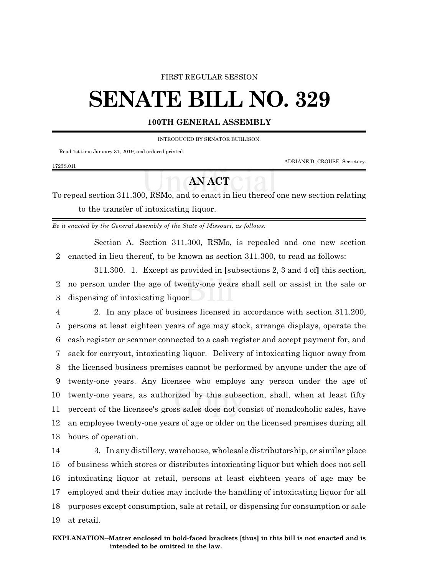#### FIRST REGULAR SESSION

# **SENATE BILL NO. 329**

### **100TH GENERAL ASSEMBLY**

INTRODUCED BY SENATOR BURLISON.

Read 1st time January 31, 2019, and ordered printed.

ADRIANE D. CROUSE, Secretary.

#### 1723S.01I

## **AN ACT**

To repeal section 311.300, RSMo, and to enact in lieu thereof one new section relating to the transfer of intoxicating liquor.

*Be it enacted by the General Assembly of the State of Missouri, as follows:*

Section A. Section 311.300, RSMo, is repealed and one new section 2 enacted in lieu thereof, to be known as section 311.300, to read as follows:

311.300. 1. Except as provided in **[**subsections 2, 3 and 4 of**]** this section, 2 no person under the age of twenty-one years shall sell or assist in the sale or 3 dispensing of intoxicating liquor.

 2. In any place of business licensed in accordance with section 311.200, persons at least eighteen years of age may stock, arrange displays, operate the cash register or scanner connected to a cash register and accept payment for, and sack for carryout, intoxicating liquor. Delivery of intoxicating liquor away from the licensed business premises cannot be performed by anyone under the age of twenty-one years. Any licensee who employs any person under the age of twenty-one years, as authorized by this subsection, shall, when at least fifty percent of the licensee's gross sales does not consist of nonalcoholic sales, have an employee twenty-one years of age or older on the licensed premises during all hours of operation.

 3. In any distillery, warehouse, wholesale distributorship, or similar place of business which stores or distributes intoxicating liquor but which does not sell intoxicating liquor at retail, persons at least eighteen years of age may be employed and their duties may include the handling of intoxicating liquor for all purposes except consumption, sale at retail, or dispensing for consumption or sale at retail.